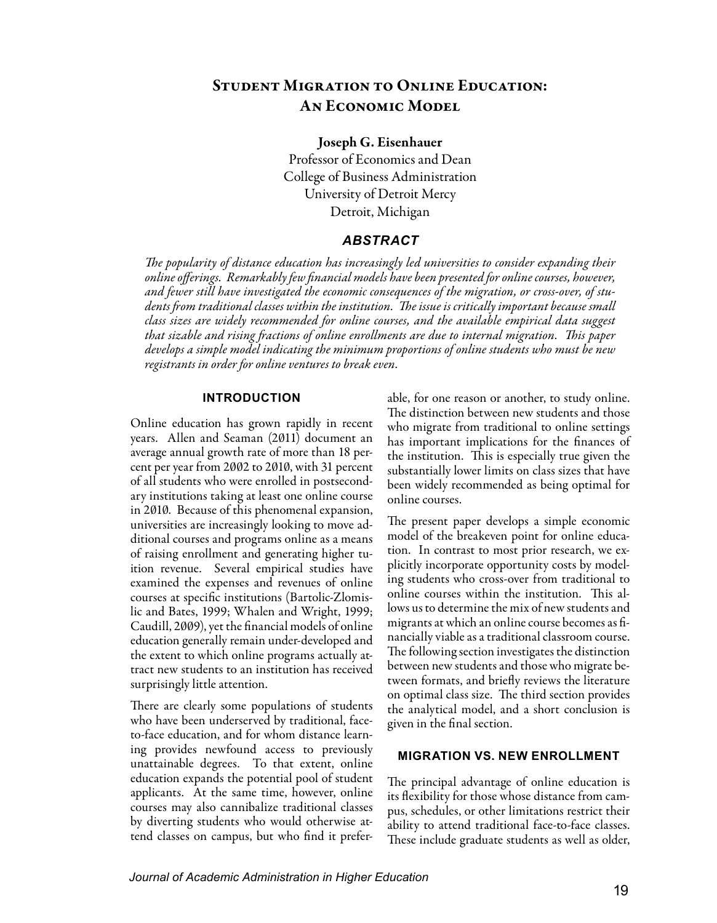# Student Migration to Online Education: An Economic Model

#### Joseph G. Eisenhauer

Professor of Economics and Dean College of Business Administration University of Detroit Mercy Detroit, Michigan

## *ABSTRACT*

*The popularity of distance education has increasingly led universities to consider expanding their online offerings. Remarkably few financial models have been presented for online courses, however, and fewer still have investigated the economic consequences of the migration, or cross-over, of students from traditional classes within the institution. The issue is critically important because small class sizes are widely recommended for online courses, and the available empirical data suggest that sizable and rising fractions of online enrollments are due to internal migration. This paper develops a simple model indicating the minimum proportions of online students who must be new registrants in order for online ventures to break even.*

#### **INTRODUCTION**

Online education has grown rapidly in recent years. Allen and Seaman (2011) document an average annual growth rate of more than 18 percent per year from 2002 to 2010, with 31 percent of all students who were enrolled in postsecondary institutions taking at least one online course in 2010. Because of this phenomenal expansion, universities are increasingly looking to move additional courses and programs online as a means of raising enrollment and generating higher tuition revenue. Several empirical studies have examined the expenses and revenues of online courses at specific institutions (Bartolic-Zlomislic and Bates, 1999; Whalen and Wright, 1999; Caudill, 2009), yet the financial models of online education generally remain under-developed and the extent to which online programs actually attract new students to an institution has received surprisingly little attention.

There are clearly some populations of students who have been underserved by traditional, faceto-face education, and for whom distance learning provides newfound access to previously unattainable degrees. To that extent, online education expands the potential pool of student applicants. At the same time, however, online courses may also cannibalize traditional classes by diverting students who would otherwise attend classes on campus, but who find it preferable, for one reason or another, to study online. The distinction between new students and those who migrate from traditional to online settings has important implications for the finances of the institution. This is especially true given the substantially lower limits on class sizes that have been widely recommended as being optimal for online courses.

The present paper develops a simple economic model of the breakeven point for online education. In contrast to most prior research, we explicitly incorporate opportunity costs by modeling students who cross-over from traditional to online courses within the institution. This allows us to determine the mix of new students and migrants at which an online course becomes as financially viable as a traditional classroom course. The following section investigates the distinction between new students and those who migrate between formats, and briefly reviews the literature on optimal class size. The third section provides the analytical model, and a short conclusion is given in the final section.

### **MIGRATION VS. NEW ENROLLMENT**

The principal advantage of online education is its flexibility for those whose distance from campus, schedules, or other limitations restrict their ability to attend traditional face-to-face classes. These include graduate students as well as older,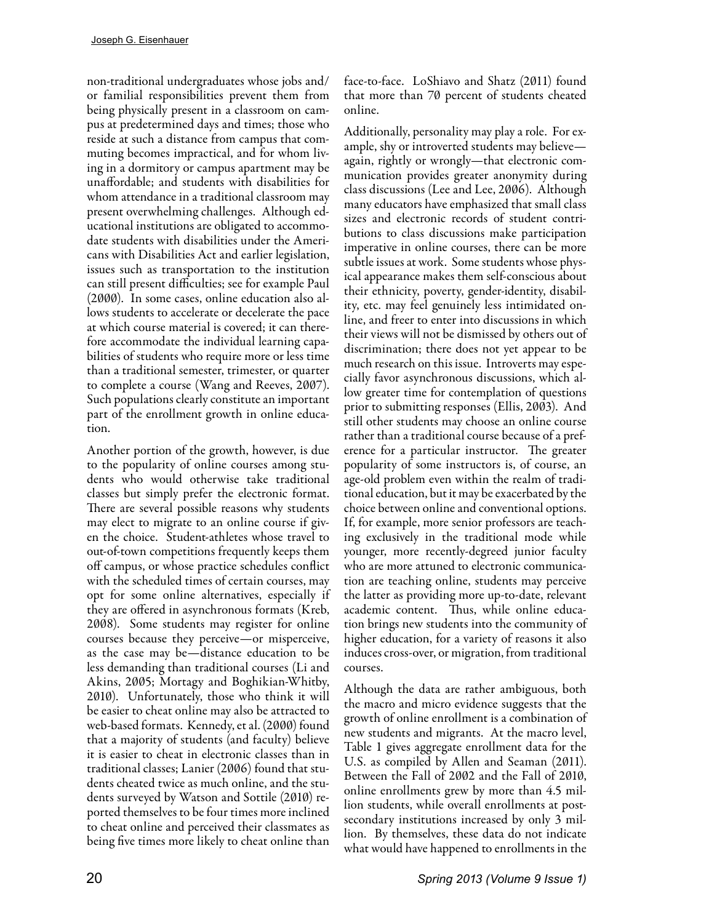non-traditional undergraduates whose jobs and/ or familial responsibilities prevent them from being physically present in a classroom on campus at predetermined days and times; those who reside at such a distance from campus that commuting becomes impractical, and for whom living in a dormitory or campus apartment may be unaffordable; and students with disabilities for whom attendance in a traditional classroom may present overwhelming challenges. Although educational institutions are obligated to accommodate students with disabilities under the Americans with Disabilities Act and earlier legislation, issues such as transportation to the institution can still present difficulties; see for example Paul (2000). In some cases, online education also allows students to accelerate or decelerate the pace at which course material is covered; it can therefore accommodate the individual learning capabilities of students who require more or less time than a traditional semester, trimester, or quarter to complete a course (Wang and Reeves, 2007). Such populations clearly constitute an important part of the enrollment growth in online education.

Another portion of the growth, however, is due to the popularity of online courses among students who would otherwise take traditional classes but simply prefer the electronic format. There are several possible reasons why students may elect to migrate to an online course if given the choice. Student-athletes whose travel to out-of-town competitions frequently keeps them off campus, or whose practice schedules conflict with the scheduled times of certain courses, may opt for some online alternatives, especially if they are offered in asynchronous formats (Kreb, 2008). Some students may register for online courses because they perceive—or misperceive, as the case may be—distance education to be less demanding than traditional courses (Li and Akins, 2005; Mortagy and Boghikian-Whitby, 2010). Unfortunately, those who think it will be easier to cheat online may also be attracted to web-based formats. Kennedy, et al. (2000) found that a majority of students (and faculty) believe it is easier to cheat in electronic classes than in traditional classes; Lanier (2006) found that students cheated twice as much online, and the students surveyed by Watson and Sottile (2010) reported themselves to be four times more inclined to cheat online and perceived their classmates as being five times more likely to cheat online than

face-to-face. LoShiavo and Shatz (2011) found that more than 70 percent of students cheated online.

Additionally, personality may play a role. For example, shy or introverted students may believe again, rightly or wrongly—that electronic communication provides greater anonymity during class discussions (Lee and Lee, 2006). Although many educators have emphasized that small class sizes and electronic records of student contributions to class discussions make participation imperative in online courses, there can be more subtle issues at work. Some students whose physical appearance makes them self-conscious about their ethnicity, poverty, gender-identity, disability, etc. may feel genuinely less intimidated online, and freer to enter into discussions in which their views will not be dismissed by others out of discrimination; there does not yet appear to be much research on this issue. Introverts may especially favor asynchronous discussions, which allow greater time for contemplation of questions prior to submitting responses (Ellis, 2003). And still other students may choose an online course rather than a traditional course because of a preference for a particular instructor. The greater popularity of some instructors is, of course, an age-old problem even within the realm of traditional education, but it may be exacerbated by the choice between online and conventional options. If, for example, more senior professors are teaching exclusively in the traditional mode while younger, more recently-degreed junior faculty who are more attuned to electronic communication are teaching online, students may perceive the latter as providing more up-to-date, relevant academic content. Thus, while online education brings new students into the community of higher education, for a variety of reasons it also induces cross-over, or migration, from traditional courses.

Although the data are rather ambiguous, both the macro and micro evidence suggests that the growth of online enrollment is a combination of new students and migrants. At the macro level, Table 1 gives aggregate enrollment data for the U.S. as compiled by Allen and Seaman (2011). Between the Fall of 2002 and the Fall of 2010, online enrollments grew by more than 4.5 million students, while overall enrollments at postsecondary institutions increased by only 3 million. By themselves, these data do not indicate what would have happened to enrollments in the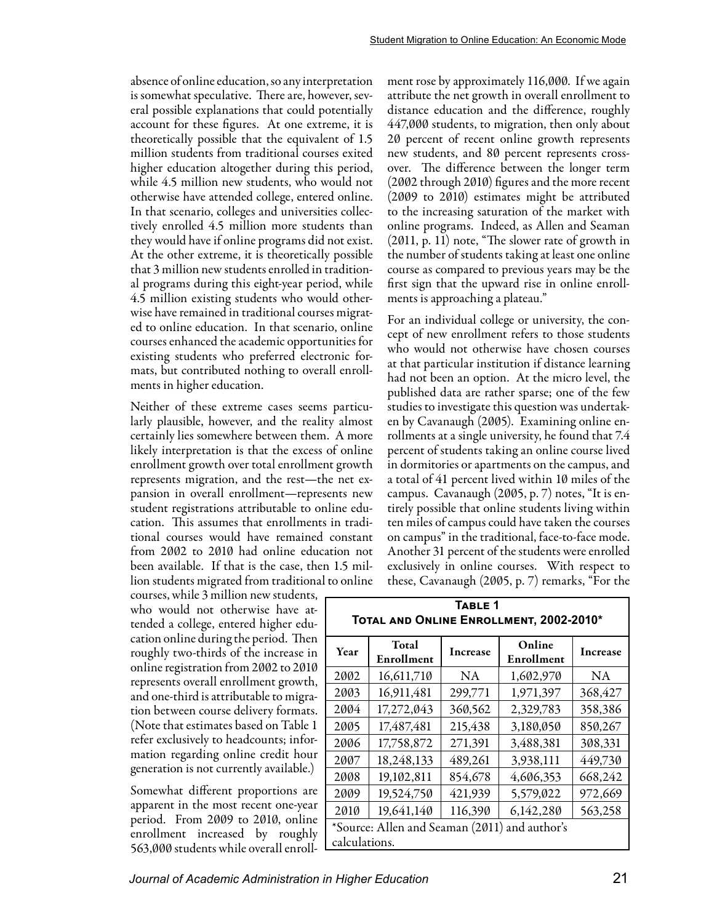absence of online education, so any interpretation is somewhat speculative. There are, however, several possible explanations that could potentially account for these figures. At one extreme, it is theoretically possible that the equivalent of 1.5 million students from traditional courses exited higher education altogether during this period, while 4.5 million new students, who would not otherwise have attended college, entered online. In that scenario, colleges and universities collectively enrolled 4.5 million more students than they would have if online programs did not exist. At the other extreme, it is theoretically possible that 3 million new students enrolled in traditional programs during this eight-year period, while 4.5 million existing students who would otherwise have remained in traditional courses migrated to online education. In that scenario, online courses enhanced the academic opportunities for existing students who preferred electronic formats, but contributed nothing to overall enrollments in higher education.

Neither of these extreme cases seems particularly plausible, however, and the reality almost certainly lies somewhere between them. A more likely interpretation is that the excess of online enrollment growth over total enrollment growth represents migration, and the rest—the net expansion in overall enrollment—represents new student registrations attributable to online education. This assumes that enrollments in traditional courses would have remained constant from 2002 to 2010 had online education not been available. If that is the case, then 1.5 million students migrated from traditional to online

courses, while 3 million new students, who would not otherwise have attended a college, entered higher education online during the period. Then roughly two-thirds of the increase in online registration from 2002 to 2010 represents overall enrollment growth, and one-third is attributable to migration between course delivery formats. (Note that estimates based on Table 1 refer exclusively to headcounts; information regarding online credit hour generation is not currently available.)

Somewhat different proportions are apparent in the most recent one-year period. From 2009 to 2010, online enrollment increased by roughly 563,000 students while overall enrollment rose by approximately 116,000. If we again attribute the net growth in overall enrollment to distance education and the difference, roughly 447,000 students, to migration, then only about 20 percent of recent online growth represents new students, and 80 percent represents crossover. The difference between the longer term (2002 through 2010) figures and the more recent (2009 to 2010) estimates might be attributed to the increasing saturation of the market with online programs. Indeed, as Allen and Seaman (2011, p. 11) note, "The slower rate of growth in the number of students taking at least one online course as compared to previous years may be the first sign that the upward rise in online enrollments is approaching a plateau."

For an individual college or university, the concept of new enrollment refers to those students who would not otherwise have chosen courses at that particular institution if distance learning had not been an option. At the micro level, the published data are rather sparse; one of the few studies to investigate this question was undertaken by Cavanaugh (2005). Examining online enrollments at a single university, he found that 7.4 percent of students taking an online course lived in dormitories or apartments on the campus, and a total of 41 percent lived within 10 miles of the campus. Cavanaugh (2005, p. 7) notes, "It is entirely possible that online students living within ten miles of campus could have taken the courses on campus" in the traditional, face-to-face mode. Another 31 percent of the students were enrolled exclusively in online courses. With respect to these, Cavanaugh (2005, p. 7) remarks, "For the

| IVIAL AND UNLINE ENNOLLWENT, EVVE-EV IV                        |                     |          |                      |                 |  |  |  |  |
|----------------------------------------------------------------|---------------------|----------|----------------------|-----------------|--|--|--|--|
| Year                                                           | Total<br>Enrollment | Increase | Online<br>Enrollment | <b>Increase</b> |  |  |  |  |
| 2002                                                           | 16,611,710          | NA       | 1,602,970            | NA              |  |  |  |  |
| 2003                                                           | 16,911,481          | 299,771  | 1,971,397            | 368,427         |  |  |  |  |
| 2004                                                           | 17,272,043          | 360,562  | 2,329,783            | 358,386         |  |  |  |  |
| 2005                                                           | 17,487,481          | 215,438  | 3,180,050            | 850,267         |  |  |  |  |
| 2006                                                           | 17,758,872          | 271,391  | 3,488,381            | 308,331         |  |  |  |  |
| 2007                                                           | 18,248,133          | 489,261  | 3,938,111            | 449,730         |  |  |  |  |
| 2008                                                           | 19,102,811          | 854,678  | 4,606,353            | 668,242         |  |  |  |  |
| 2009                                                           | 19,524,750          | 421,939  | 5,579,022            | 972,669         |  |  |  |  |
| 2010                                                           | 19,641,140          | 116,390  | 6,142,280            | 563,258         |  |  |  |  |
| *Source: Allen and Seaman (2011) and author's<br>calculations. |                     |          |                      |                 |  |  |  |  |
|                                                                |                     |          |                      |                 |  |  |  |  |

### **Table 1 Total and Online Enrollment, 2002-2010\***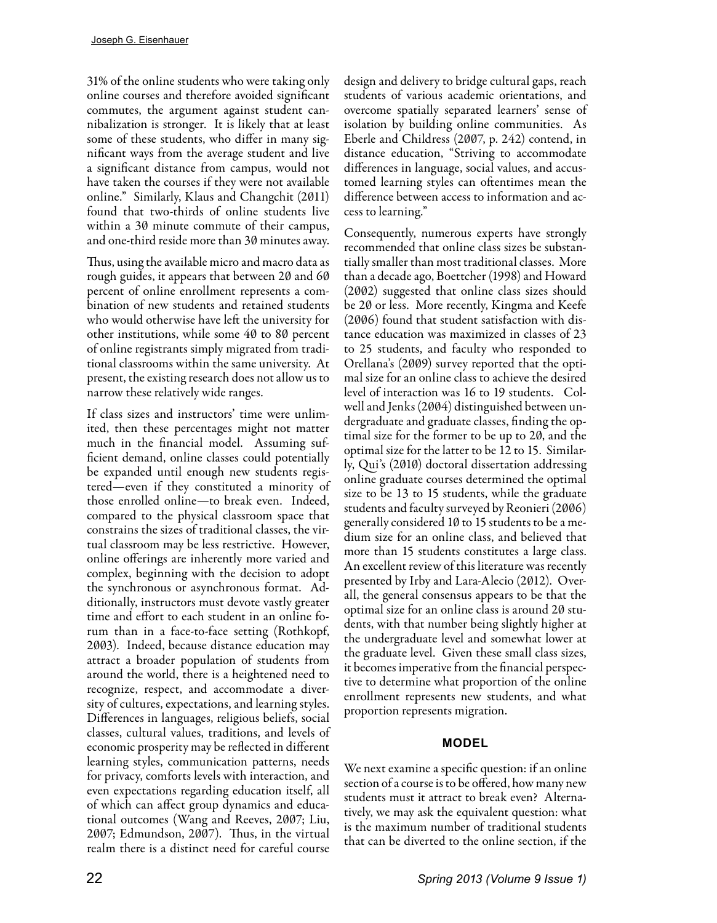31% of the online students who were taking only online courses and therefore avoided significant commutes, the argument against student cannibalization is stronger. It is likely that at least some of these students, who differ in many significant ways from the average student and live a significant distance from campus, would not have taken the courses if they were not available online." Similarly, Klaus and Changchit (2011) found that two-thirds of online students live within a 30 minute commute of their campus, and one-third reside more than 30 minutes away.

Thus, using the available micro and macro data as rough guides, it appears that between 20 and 60 percent of online enrollment represents a combination of new students and retained students who would otherwise have left the university for other institutions, while some 40 to 80 percent of online registrants simply migrated from traditional classrooms within the same university. At present, the existing research does not allow us to narrow these relatively wide ranges.

If class sizes and instructors' time were unlimited, then these percentages might not matter much in the financial model. Assuming sufficient demand, online classes could potentially be expanded until enough new students registered—even if they constituted a minority of those enrolled online—to break even. Indeed, compared to the physical classroom space that constrains the sizes of traditional classes, the virtual classroom may be less restrictive. However, online offerings are inherently more varied and complex, beginning with the decision to adopt the synchronous or asynchronous format. Additionally, instructors must devote vastly greater time and effort to each student in an online forum than in a face-to-face setting (Rothkopf, 2003). Indeed, because distance education may attract a broader population of students from around the world, there is a heightened need to recognize, respect, and accommodate a diversity of cultures, expectations, and learning styles. Differences in languages, religious beliefs, social classes, cultural values, traditions, and levels of economic prosperity may be reflected in different learning styles, communication patterns, needs for privacy, comforts levels with interaction, and even expectations regarding education itself, all of which can affect group dynamics and educational outcomes (Wang and Reeves, 2007; Liu, 2007; Edmundson, 2007). Thus, in the virtual realm there is a distinct need for careful course

design and delivery to bridge cultural gaps, reach students of various academic orientations, and overcome spatially separated learners' sense of isolation by building online communities. As Eberle and Childress (2007, p. 242) contend, in distance education, "Striving to accommodate differences in language, social values, and accustomed learning styles can oftentimes mean the difference between access to information and access to learning."

Consequently, numerous experts have strongly recommended that online class sizes be substantially smaller than most traditional classes. More than a decade ago, Boettcher (1998) and Howard (2002) suggested that online class sizes should be 20 or less. More recently, Kingma and Keefe (2006) found that student satisfaction with distance education was maximized in classes of 23 to 25 students, and faculty who responded to Orellana's (2009) survey reported that the optimal size for an online class to achieve the desired level of interaction was 16 to 19 students. Colwell and Jenks (2004) distinguished between undergraduate and graduate classes, finding the optimal size for the former to be up to 20, and the optimal size for the latter to be 12 to 15. Similarly, Qui's (2010) doctoral dissertation addressing online graduate courses determined the optimal size to be 13 to 15 students, while the graduate students and faculty surveyed by Reonieri (2006) generally considered 10 to 15 students to be a medium size for an online class, and believed that more than 15 students constitutes a large class. An excellent review of this literature was recently presented by Irby and Lara-Alecio (2012). Overall, the general consensus appears to be that the optimal size for an online class is around 20 students, with that number being slightly higher at the undergraduate level and somewhat lower at the graduate level. Given these small class sizes, it becomes imperative from the financial perspective to determine what proportion of the online enrollment represents new students, and what proportion represents migration.

# **MODEL**

We next examine a specific question: if an online section of a course is to be offered, how many new students must it attract to break even? Alternatively, we may ask the equivalent question: what is the maximum number of traditional students that can be diverted to the online section, if the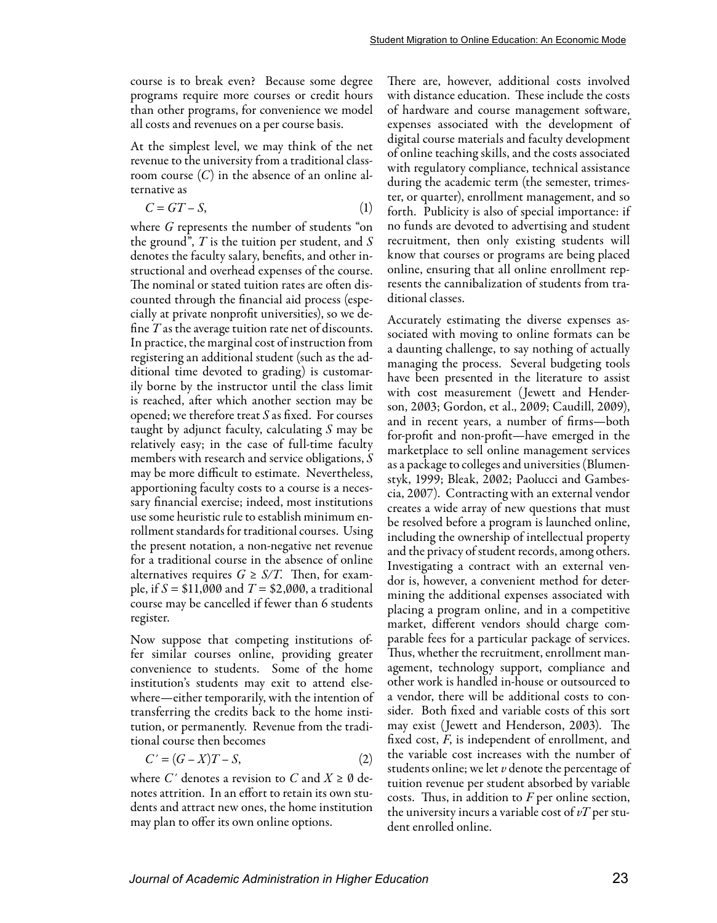course is to break even? Because some degree programs require more courses or credit hours than other programs, for convenience we model all costs and revenues on a per course basis.

At the simplest level, we may think of the net revenue to the university from a traditional classroom course (*C*) in the absence of an online alternative as

$$
C = GT - S,\tag{1}
$$

where *G* represents the number of students "on the ground", *T* is the tuition per student, and *S* denotes the faculty salary, benefits, and other instructional and overhead expenses of the course. The nominal or stated tuition rates are often discounted through the financial aid process (especially at private nonprofit universities), so we define *T* as the average tuition rate net of discounts. In practice, the marginal cost of instruction from registering an additional student (such as the additional time devoted to grading) is customarily borne by the instructor until the class limit is reached, after which another section may be opened; we therefore treat *S* as fixed. For courses taught by adjunct faculty, calculating *S* may be relatively easy; in the case of full-time faculty members with research and service obligations, *S* may be more difficult to estimate. Nevertheless, apportioning faculty costs to a course is a necessary financial exercise; indeed, most institutions use some heuristic rule to establish minimum enrollment standards for traditional courses. Using the present notation, a non-negative net revenue for a traditional course in the absence of online alternatives requires  $G \geq S/T$ . Then, for example, if  $S = $11,000$  and  $T = $2,000$ , a traditional course may be cancelled if fewer than 6 students register.

Now suppose that competing institutions offer similar courses online, providing greater convenience to students. Some of the home institution's students may exit to attend elsewhere—either temporarily, with the intention of transferring the credits back to the home institution, or permanently. Revenue from the traditional course then becomes

$$
C' = (G - X)T - S,\t\t(2)
$$

where C' denotes a revision to C and  $X \geq \emptyset$  denotes attrition. In an effort to retain its own students and attract new ones, the home institution may plan to offer its own online options.

There are, however, additional costs involved with distance education. These include the costs of hardware and course management software, expenses associated with the development of digital course materials and faculty development of online teaching skills, and the costs associated with regulatory compliance, technical assistance during the academic term (the semester, trimester, or quarter), enrollment management, and so forth. Publicity is also of special importance: if no funds are devoted to advertising and student recruitment, then only existing students will know that courses or programs are being placed online, ensuring that all online enrollment represents the cannibalization of students from traditional classes.

Accurately estimating the diverse expenses associated with moving to online formats can be a daunting challenge, to say nothing of actually managing the process. Several budgeting tools have been presented in the literature to assist with cost measurement (Jewett and Henderson, 2003; Gordon, et al., 2009; Caudill, 2009), and in recent years, a number of firms—both for-profit and non-profit—have emerged in the marketplace to sell online management services as a package to colleges and universities (Blumenstyk, 1999; Bleak, 2002; Paolucci and Gambescia, 2007). Contracting with an external vendor creates a wide array of new questions that must be resolved before a program is launched online, including the ownership of intellectual property and the privacy of student records, among others. Investigating a contract with an external vendor is, however, a convenient method for determining the additional expenses associated with placing a program online, and in a competitive market, different vendors should charge comparable fees for a particular package of services. Thus, whether the recruitment, enrollment management, technology support, compliance and other work is handled in-house or outsourced to a vendor, there will be additional costs to consider. Both fixed and variable costs of this sort may exist (Jewett and Henderson, 2003). The fixed cost, *F*, is independent of enrollment, and the variable cost increases with the number of students online; we let *v* denote the percentage of tuition revenue per student absorbed by variable costs. Thus, in addition to *F* per online section, the university incurs a variable cost of *vT* per student enrolled online.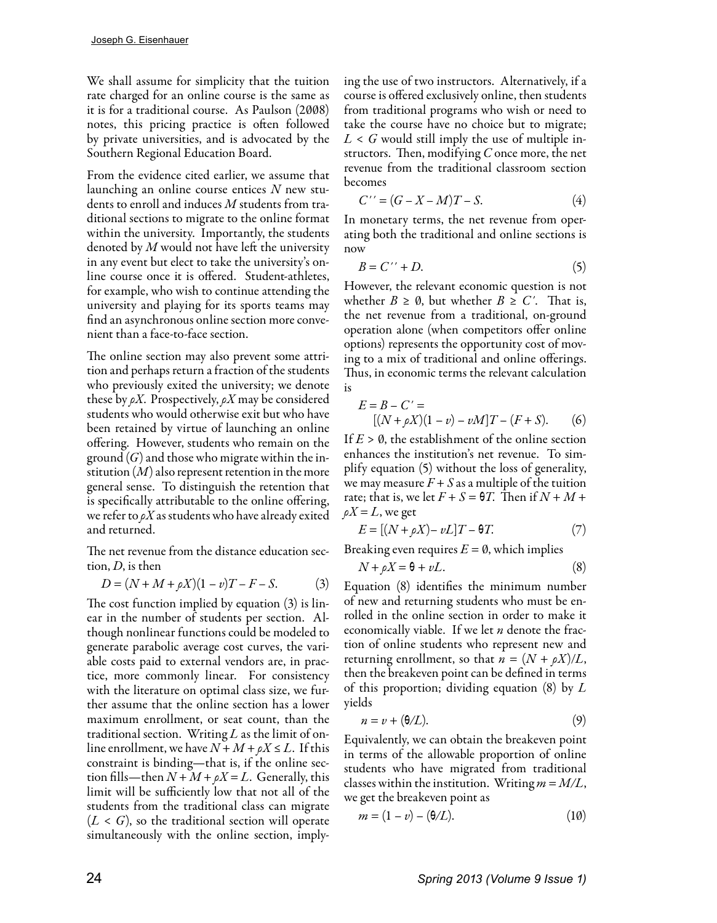We shall assume for simplicity that the tuition rate charged for an online course is the same as it is for a traditional course. As Paulson (2008) notes, this pricing practice is often followed by private universities, and is advocated by the Southern Regional Education Board.

From the evidence cited earlier, we assume that launching an online course entices *N* new students to enroll and induces *M* students from traditional sections to migrate to the online format within the university. Importantly, the students denoted by *M* would not have left the university in any event but elect to take the university's online course once it is offered. Student-athletes, for example, who wish to continue attending the university and playing for its sports teams may find an asynchronous online section more convenient than a face-to-face section.

The online section may also prevent some attrition and perhaps return a fraction of the students who previously exited the university; we denote these by *ρX*. Prospectively, *ρX* may be considered students who would otherwise exit but who have been retained by virtue of launching an online offering. However, students who remain on the ground (*G*) and those who migrate within the institution (*M*) also represent retention in the more general sense. To distinguish the retention that is specifically attributable to the online offering, we refer to *ρX* as students who have already exited and returned.

The net revenue from the distance education section, *D*, is then

$$
D = (N + M + \rho X)(1 - v)T - F - S.
$$
 (3)

The cost function implied by equation (3) is linear in the number of students per section. Although nonlinear functions could be modeled to generate parabolic average cost curves, the variable costs paid to external vendors are, in practice, more commonly linear. For consistency with the literature on optimal class size, we further assume that the online section has a lower maximum enrollment, or seat count, than the traditional section. Writing *L* as the limit of online enrollment, we have  $N + M + \rho X \leq L$ . If this constraint is binding—that is, if the online section fills—then  $N + M + \rho X = L$ . Generally, this limit will be sufficiently low that not all of the students from the traditional class can migrate  $(L < G)$ , so the traditional section will operate simultaneously with the online section, imply-

ing the use of two instructors. Alternatively, if a course is offered exclusively online, then students from traditional programs who wish or need to take the course have no choice but to migrate; *L* < *G* would still imply the use of multiple instructors. Then, modifying *C* once more, the net revenue from the traditional classroom section becomes

$$
C^{\prime\prime} = (G - X - M)T - S. \tag{4}
$$

In monetary terms, the net revenue from operating both the traditional and online sections is now

$$
B = C^{\prime\prime} + D. \tag{5}
$$

However, the relevant economic question is not whether  $B \geq \emptyset$ , but whether  $B \geq C'$ . That is, the net revenue from a traditional, on-ground operation alone (when competitors offer online options) represents the opportunity cost of moving to a mix of traditional and online offerings. Thus, in economic terms the relevant calculation is

$$
E = B - C' = [ (N + \rho X)(1 - v) - vM ]T - (F + S). \tag{6}
$$

If  $E > \emptyset$ , the establishment of the online section enhances the institution's net revenue. To simplify equation (5) without the loss of generality, we may measure  $F + S$  as a multiple of the tuition rate; that is, we let  $F + S = \Theta T$ . Then if  $N + M +$  $\rho X = L$ , we get

$$
E = [(N + \rho X) - \nu L]T - \Theta T.
$$
 (7)

Breaking even requires  $E = \emptyset$ , which implies

$$
N + \rho X = \theta + vL. \tag{8}
$$

Equation (8) identifies the minimum number of new and returning students who must be enrolled in the online section in order to make it economically viable. If we let *n* denote the fraction of online students who represent new and returning enrollment, so that  $n = (N + \rho X)/L$ , then the breakeven point can be defined in terms of this proportion; dividing equation (8) by *L* yields

$$
n = \nu + (\Theta/L). \tag{9}
$$

Equivalently, we can obtain the breakeven point in terms of the allowable proportion of online students who have migrated from traditional classes within the institution. Writing  $m = M/L$ , we get the breakeven point as

$$
m = (1 - v) - (\theta/L). \tag{10}
$$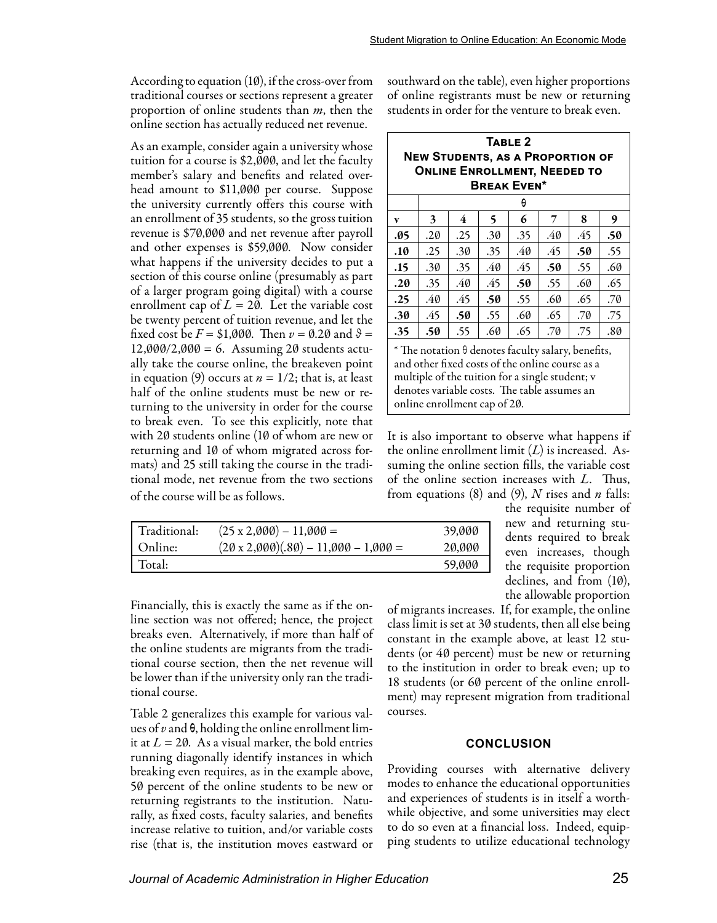According to equation (10), if the cross-over from traditional courses or sections represent a greater proportion of online students than *m*, then the online section has actually reduced net revenue.

As an example, consider again a university whose tuition for a course is \$2,000, and let the faculty member's salary and benefits and related overhead amount to \$11,000 per course. Suppose the university currently offers this course with an enrollment of 35 students, so the gross tuition revenue is \$70,000 and net revenue after payroll and other expenses is \$59,000. Now consider what happens if the university decides to put a section of this course online (presumably as part of a larger program going digital) with a course enrollment cap of  $L = 20$ . Let the variable cost be twenty percent of tuition revenue, and let the fixed cost be  $F = $1,000$ . Then  $v = 0.20$  and  $\theta =$  $12,000/2,000 = 6$ . Assuming 20 students actually take the course online, the breakeven point in equation (9) occurs at  $n = 1/2$ ; that is, at least half of the online students must be new or returning to the university in order for the course to break even. To see this explicitly, note that with 20 students online (10 of whom are new or returning and 10 of whom migrated across formats) and 25 still taking the course in the traditional mode, net revenue from the two sections of the course will be as follows.

| Traditional: | $(25 \times 2,000) - 11,000 =$              | 39,000 |
|--------------|---------------------------------------------|--------|
| Online:      | $(20 \times 2,000)(.80) - 11,000 - 1,000 =$ | 20,000 |
| Total:       |                                             | 59,000 |

Financially, this is exactly the same as if the online section was not offered; hence, the project breaks even. Alternatively, if more than half of the online students are migrants from the traditional course section, then the net revenue will be lower than if the university only ran the traditional course.

Table 2 generalizes this example for various values of *v* and θ, holding the online enrollment limit at  $L = 20$ . As a visual marker, the bold entries running diagonally identify instances in which breaking even requires, as in the example above, 50 percent of the online students to be new or returning registrants to the institution. Naturally, as fixed costs, faculty salaries, and benefits increase relative to tuition, and/or variable costs rise (that is, the institution moves eastward or southward on the table), even higher proportions of online registrants must be new or returning students in order for the venture to break even.

| TABLE <sub>2</sub><br><b>NEW STUDENTS, AS A PROPORTION OF</b><br><b>ONLINE ENROLLMENT, NEEDED TO</b><br><b>BREAK EVEN*</b> |     |     |     |     |     |     |     |  |  |  |
|----------------------------------------------------------------------------------------------------------------------------|-----|-----|-----|-----|-----|-----|-----|--|--|--|
|                                                                                                                            | θ   |     |     |     |     |     |     |  |  |  |
| v                                                                                                                          | 3   | 4   | 5   | 6   | 7   | 8   | 9   |  |  |  |
| .05                                                                                                                        | .20 | .25 | .30 | .35 | .40 | .45 | .50 |  |  |  |
| .10                                                                                                                        | .25 | .30 | .35 | .40 | .45 | .50 | .55 |  |  |  |
| .15                                                                                                                        | .30 | .35 | .40 | .45 | .50 | .55 | .60 |  |  |  |
| .20                                                                                                                        | .35 | .40 | .45 | .50 | .55 | .60 | .65 |  |  |  |
| .25                                                                                                                        | .40 | .45 | .50 | .55 | .60 | .65 | .70 |  |  |  |
| .30                                                                                                                        | .45 | .50 | .55 | .60 | .65 | .70 | .75 |  |  |  |
| .35                                                                                                                        | .50 | .55 | .60 | .65 | .70 | .75 | .80 |  |  |  |

\* The notation  $\theta$  denotes faculty salary, benefits, and other fixed costs of the online course as a multiple of the tuition for a single student; v denotes variable costs. The table assumes an online enrollment cap of 20.

It is also important to observe what happens if the online enrollment limit (*L*) is increased. Assuming the online section fills, the variable cost of the online section increases with *L*. Thus, from equations (8) and (9), *N* rises and *n* falls:

the requisite number of new and returning students required to break even increases, though the requisite proportion declines, and from (10), the allowable proportion

of migrants increases. If, for example, the online class limit is set at 30 students, then all else being constant in the example above, at least 12 students (or 40 percent) must be new or returning to the institution in order to break even; up to 18 students (or 60 percent of the online enrollment) may represent migration from traditional courses.

#### **CONCLUSION**

Providing courses with alternative delivery modes to enhance the educational opportunities and experiences of students is in itself a worthwhile objective, and some universities may elect to do so even at a financial loss. Indeed, equipping students to utilize educational technology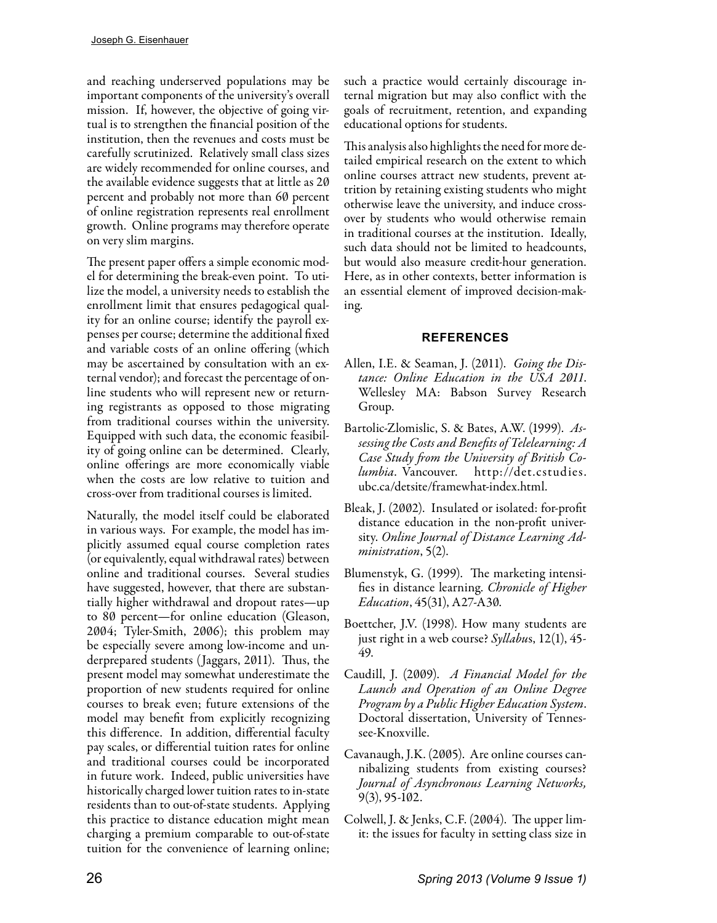and reaching underserved populations may be important components of the university's overall mission. If, however, the objective of going virtual is to strengthen the financial position of the institution, then the revenues and costs must be carefully scrutinized. Relatively small class sizes are widely recommended for online courses, and the available evidence suggests that at little as 20 percent and probably not more than 60 percent of online registration represents real enrollment growth. Online programs may therefore operate on very slim margins.

The present paper offers a simple economic model for determining the break-even point. To utilize the model, a university needs to establish the enrollment limit that ensures pedagogical quality for an online course; identify the payroll expenses per course; determine the additional fixed and variable costs of an online offering (which may be ascertained by consultation with an external vendor); and forecast the percentage of online students who will represent new or returning registrants as opposed to those migrating from traditional courses within the university. Equipped with such data, the economic feasibility of going online can be determined. Clearly, online offerings are more economically viable when the costs are low relative to tuition and cross-over from traditional courses is limited.

Naturally, the model itself could be elaborated in various ways. For example, the model has implicitly assumed equal course completion rates (or equivalently, equal withdrawal rates) between online and traditional courses. Several studies have suggested, however, that there are substantially higher withdrawal and dropout rates—up to 80 percent—for online education (Gleason, 2004; Tyler-Smith, 2006); this problem may be especially severe among low-income and underprepared students (Jaggars, 2011). Thus, the present model may somewhat underestimate the proportion of new students required for online courses to break even; future extensions of the model may benefit from explicitly recognizing this difference. In addition, differential faculty pay scales, or differential tuition rates for online and traditional courses could be incorporated in future work. Indeed, public universities have historically charged lower tuition rates to in-state residents than to out-of-state students. Applying this practice to distance education might mean charging a premium comparable to out-of-state tuition for the convenience of learning online;

such a practice would certainly discourage internal migration but may also conflict with the goals of recruitment, retention, and expanding educational options for students.

This analysis also highlights the need for more detailed empirical research on the extent to which online courses attract new students, prevent attrition by retaining existing students who might otherwise leave the university, and induce crossover by students who would otherwise remain in traditional courses at the institution. Ideally, such data should not be limited to headcounts, but would also measure credit-hour generation. Here, as in other contexts, better information is an essential element of improved decision-making.

### **REFERENCES**

- Allen, I.E. & Seaman, J. (2011). *Going the Distance: Online Education in the USA 2011*. Wellesley MA: Babson Survey Research Group.
- Bartolic-Zlomislic, S. & Bates, A.W. (1999). *Assessing the Costs and Benefits of Telelearning: A Case Study from the University of British Columbia*. Vancouver. http://det.cstudies. ubc.ca/detsite/framewhat-index.html.
- Bleak, J. (2002). Insulated or isolated: for-profit distance education in the non-profit university. *Online Journal of Distance Learning Administration*, 5(2).
- Blumenstyk, G. (1999). The marketing intensifies in distance learning. *Chronicle of Higher Education*, 45(31), A27-A30.
- Boettcher, J.V. (1998). How many students are just right in a web course? *Syllabu*s, 12(1), 45- 49.
- Caudill, J. (2009). *A Financial Model for the Launch and Operation of an Online Degree Program by a Public Higher Education System*. Doctoral dissertation, University of Tennessee-Knoxville.
- Cavanaugh, J.K. (2005). Are online courses cannibalizing students from existing courses? *Journal of Asynchronous Learning Networks,* 9(3), 95-102.
- Colwell, J. & Jenks, C.F. (2004). The upper limit: the issues for faculty in setting class size in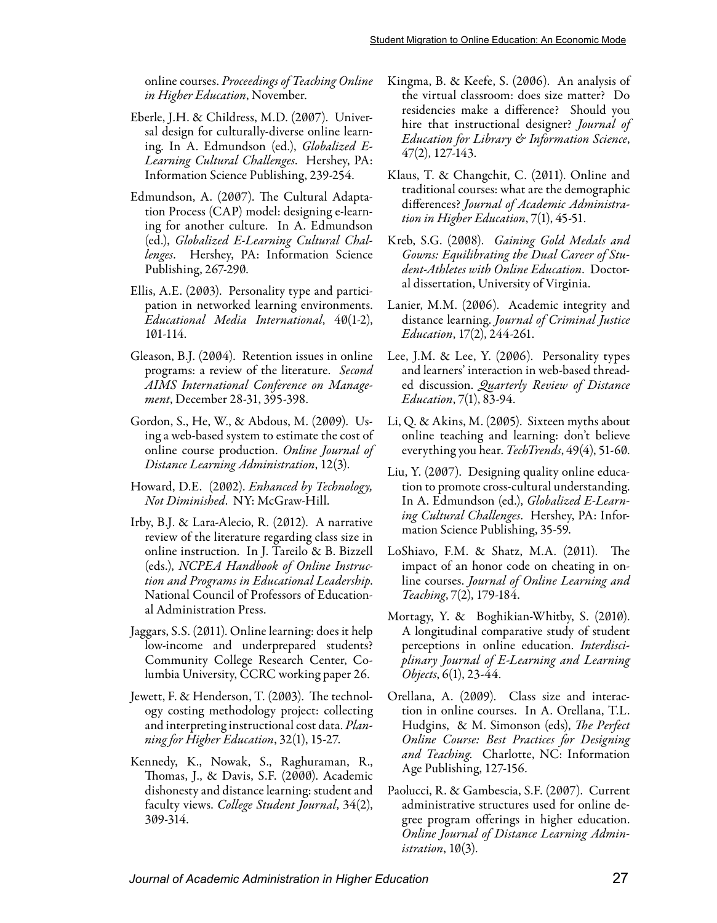online courses. *Proceedings of Teaching Online in Higher Education*, November.

- Eberle, J.H. & Childress, M.D. (2007). Universal design for culturally-diverse online learning. In A. Edmundson (ed.), *Globalized E-Learning Cultural Challenges*. Hershey, PA: Information Science Publishing, 239-254.
- Edmundson, A. (2007). The Cultural Adaptation Process (CAP) model: designing e-learning for another culture. In A. Edmundson (ed.), *Globalized E-Learning Cultural Challenges*. Hershey, PA: Information Science Publishing, 267-290.
- Ellis, A.E. (2003). Personality type and participation in networked learning environments. *Educational Media International*, 40(1-2), 101-114.
- Gleason, B.J. (2004). Retention issues in online programs: a review of the literature. *Second AIMS International Conference on Management*, December 28-31, 395-398.
- Gordon, S., He, W., & Abdous, M. (2009). Using a web-based system to estimate the cost of online course production. *Online Journal of Distance Learning Administration*, 12(3).
- Howard, D.E. (2002). *Enhanced by Technology, Not Diminished*. NY: McGraw-Hill.
- Irby, B.J. & Lara-Alecio, R. (2012). A narrative review of the literature regarding class size in online instruction. In J. Tareilo & B. Bizzell (eds.), *NCPEA Handbook of Online Instruction and Programs in Educational Leadership*. National Council of Professors of Educational Administration Press.
- Jaggars, S.S. (2011). Online learning: does it help low-income and underprepared students? Community College Research Center, Columbia University, CCRC working paper 26.
- Jewett, F. & Henderson, T. (2003). The technology costing methodology project: collecting and interpreting instructional cost data. *Planning for Higher Education*, 32(1), 15-27.
- Kennedy, K., Nowak, S., Raghuraman, R., Thomas, J., & Davis, S.F. (2000). Academic dishonesty and distance learning: student and faculty views. *College Student Journal*, 34(2), 309-314.
- Kingma, B. & Keefe, S. (2006). An analysis of the virtual classroom: does size matter? Do residencies make a difference? Should you hire that instructional designer? *Journal of Education for Library & Information Science*, 47(2), 127-143.
- Klaus, T. & Changchit, C. (2011). Online and traditional courses: what are the demographic differences? *Journal of Academic Administration in Higher Education*, 7(1), 45-51.
- Kreb, S.G. (2008). *Gaining Gold Medals and Gowns: Equilibrating the Dual Career of Student-Athletes with Online Education*. Doctoral dissertation, University of Virginia.
- Lanier, M.M. (2006). Academic integrity and distance learning. *Journal of Criminal Justice Education*, 17(2), 244-261.
- Lee, J.M. & Lee, Y. (2006). Personality types and learners' interaction in web-based threaded discussion. *Quarterly Review of Distance Education*, 7(1), 83-94.
- Li, Q. & Akins, M. (2005). Sixteen myths about online teaching and learning: don't believe everything you hear. *TechTrends*, 49(4), 51-60.
- Liu, Y. (2007). Designing quality online education to promote cross-cultural understanding. In A. Edmundson (ed.), *Globalized E-Learning Cultural Challenges*. Hershey, PA: Information Science Publishing, 35-59.
- LoShiavo, F.M. & Shatz, M.A. (2011). The impact of an honor code on cheating in online courses. *Journal of Online Learning and Teaching*, 7(2), 179-184.
- Mortagy, Y. & Boghikian-Whitby, S. (2010). A longitudinal comparative study of student perceptions in online education. *Interdisciplinary Journal of E-Learning and Learning Objects*, 6(1), 23-44.
- Orellana, A. (2009). Class size and interaction in online courses. In A. Orellana, T.L. Hudgins, & M. Simonson (eds), *The Perfect Online Course: Best Practices for Designing and Teaching*. Charlotte, NC: Information Age Publishing, 127-156.
- Paolucci, R. & Gambescia, S.F. (2007). Current administrative structures used for online degree program offerings in higher education. *Online Journal of Distance Learning Administration*, 10(3).